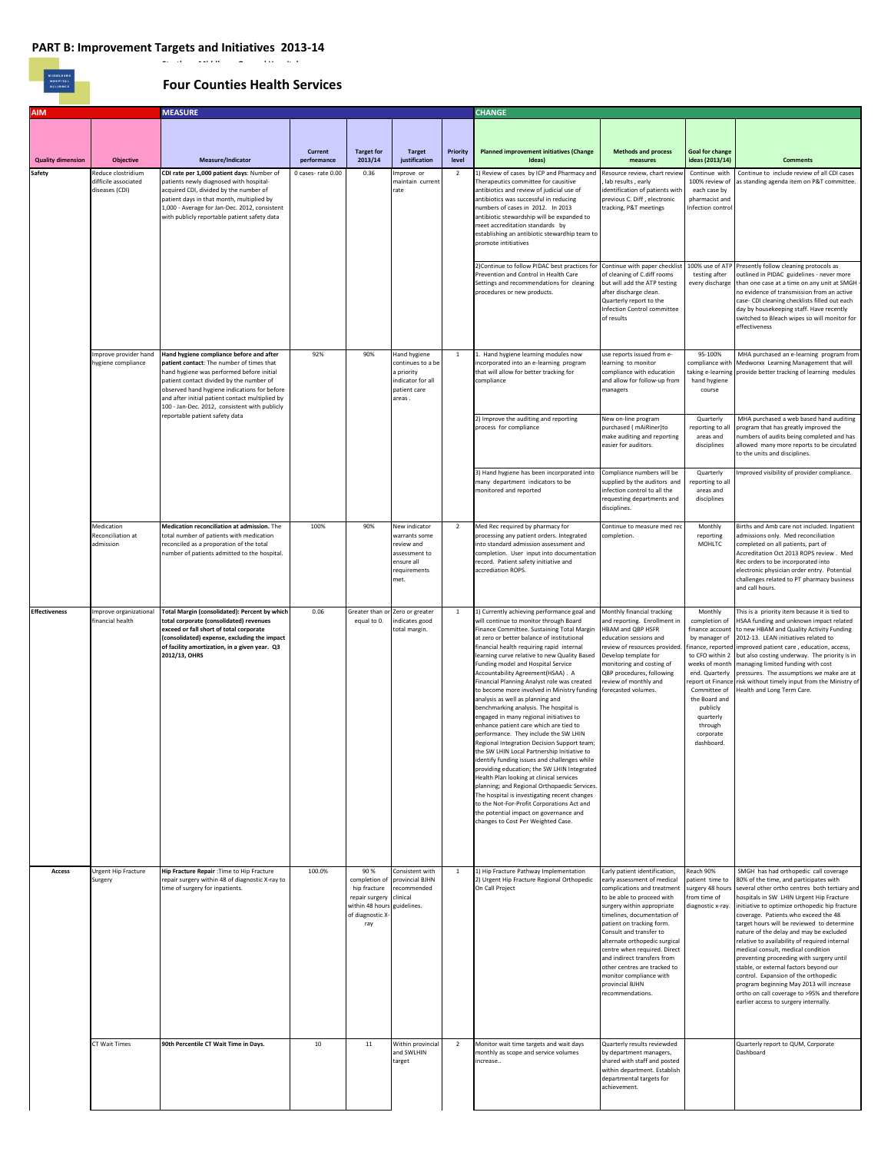MIDDLESEX<br>HOSPITAL<br>ALLIANCE

## **Four Counties Health Services**

| <b>AIM</b>               |                                                              | <b>MEASURE</b>                                                                                                                                                                                                                                                                                                                                                       |                        |                                                                                                                  |                                                                                                     |                   | <b>CHANGE</b>                                                                                                                                                                                                                                                                                                                                                                                                                                                                                                                                                                                                                                                                                                                                                                                                                                                                                                                                                                                                                                                                                                                             |                                                                                                                                                                                                                                                                                                                                                                                                                                                  |                                                                                                                                                                                                  |                                                                                                                                                                                                                                                                                                                                                                                                                                                                                                                                                                                                                                                                                                                           |
|--------------------------|--------------------------------------------------------------|----------------------------------------------------------------------------------------------------------------------------------------------------------------------------------------------------------------------------------------------------------------------------------------------------------------------------------------------------------------------|------------------------|------------------------------------------------------------------------------------------------------------------|-----------------------------------------------------------------------------------------------------|-------------------|-------------------------------------------------------------------------------------------------------------------------------------------------------------------------------------------------------------------------------------------------------------------------------------------------------------------------------------------------------------------------------------------------------------------------------------------------------------------------------------------------------------------------------------------------------------------------------------------------------------------------------------------------------------------------------------------------------------------------------------------------------------------------------------------------------------------------------------------------------------------------------------------------------------------------------------------------------------------------------------------------------------------------------------------------------------------------------------------------------------------------------------------|--------------------------------------------------------------------------------------------------------------------------------------------------------------------------------------------------------------------------------------------------------------------------------------------------------------------------------------------------------------------------------------------------------------------------------------------------|--------------------------------------------------------------------------------------------------------------------------------------------------------------------------------------------------|---------------------------------------------------------------------------------------------------------------------------------------------------------------------------------------------------------------------------------------------------------------------------------------------------------------------------------------------------------------------------------------------------------------------------------------------------------------------------------------------------------------------------------------------------------------------------------------------------------------------------------------------------------------------------------------------------------------------------|
| <b>Quality dimension</b> | <b>Objective</b>                                             | Measure/Indicator                                                                                                                                                                                                                                                                                                                                                    | Current<br>performance | <b>Target for</b><br>2013/14                                                                                     | <b>Target</b><br>justification                                                                      | Priority<br>level | <b>Planned improvement initiatives (Change</b><br>Ideas)                                                                                                                                                                                                                                                                                                                                                                                                                                                                                                                                                                                                                                                                                                                                                                                                                                                                                                                                                                                                                                                                                  | <b>Methods and process</b><br>measures                                                                                                                                                                                                                                                                                                                                                                                                           | <b>Goal for change</b><br>ideas (2013/14)                                                                                                                                                        | <b>Comments</b>                                                                                                                                                                                                                                                                                                                                                                                                                                                                                                                                                                                                                                                                                                           |
| <b>Safety</b>            | Reduce clostridium<br>difficile associated<br>diseases (CDI) | CDI rate per 1,000 patient days: Number of<br>patients newly diagnosed with hospital-<br>acquired CDI, divided by the number of<br>patient days in that month, multiplied by<br>1,000 - Average for Jan-Dec. 2012, consistent<br>with publicly reportable patient safety data                                                                                        | 0 cases-rate 0.00      | 0.36                                                                                                             | Improve or<br>maintain current<br>rate                                                              | $\overline{2}$    | 1) Review of cases by ICP and Pharmacy and<br>Therapeutics committee for causitive<br>antibiotics and review of judicial use of<br>antibiotics was successful in reducing<br>numbers of cases in 2012. In 2013<br>antibiotic stewardship will be expanded to<br>meet accreditation standards by<br>establishing an antibiotic stewardhip team to<br>promote intitiatives                                                                                                                                                                                                                                                                                                                                                                                                                                                                                                                                                                                                                                                                                                                                                                  | Resource review, chart review<br>lab results, early<br>identification of patients with<br>previous C. Diff, electronic<br>tracking, P&T meetings                                                                                                                                                                                                                                                                                                 | Continue with<br>100% review of<br>each case by<br>pharmacist and<br>Infection control                                                                                                           | Continue to include review of all CDI cases<br>as standing agenda item on P&T committee.                                                                                                                                                                                                                                                                                                                                                                                                                                                                                                                                                                                                                                  |
|                          |                                                              |                                                                                                                                                                                                                                                                                                                                                                      |                        |                                                                                                                  |                                                                                                     |                   | 2) Continue to follow PIDAC best practices for<br>Prevention and Control in Health Care<br>Settings and recommendations for cleaning<br>procedures or new products.                                                                                                                                                                                                                                                                                                                                                                                                                                                                                                                                                                                                                                                                                                                                                                                                                                                                                                                                                                       | Continue with paper checklist<br>of cleaning of C.diff rooms<br>but will add the ATP testing<br>after discharge clean.<br>Quarterly report to the<br>Infection Control committee<br>of results                                                                                                                                                                                                                                                   | 100% use of ATP<br>testing after<br>every discharge                                                                                                                                              | Presently follow cleaning protocols as<br>outlined in PIDAC guidelines - never more<br>than one case at a time on any unit at SMGH<br>no evidence of transmission from an active<br>case- CDI cleaning checklists filled out each<br>day by housekeeping staff. Have recently<br>switched to Bleach wipes so will monitor for<br>effectiveness                                                                                                                                                                                                                                                                                                                                                                            |
|                          | mprove provider hand<br>nygiene compliance                   | Hand hygiene compliance before and after<br>patient contact: The number of times that<br>hand hygiene was performed before initial<br>patient contact divided by the number of<br>observed hand hygiene indications for before<br>and after initial patient contact multiplied by<br>100 - Jan-Dec. 2012, consistent with publicly<br>reportable patient safety data | 92%                    | 90%                                                                                                              | Hand hygiene<br>continues to a be<br>priority<br>indicator for all<br>patient care<br>areas.        | $\,$ 1            | 1. Hand hygiene learning modules now<br>incorporated into an e-learning program<br>that will allow for better tracking for<br>compliance                                                                                                                                                                                                                                                                                                                                                                                                                                                                                                                                                                                                                                                                                                                                                                                                                                                                                                                                                                                                  | use reports issued from e-<br>learning to monitor<br>compliance with education<br>and allow for follow-up from<br>managers                                                                                                                                                                                                                                                                                                                       | 95-100%<br>compliance with<br>hand hygiene<br>course                                                                                                                                             | MHA purchased an e-learning program from<br>Medworxx Learning Management that will<br>taking e-learning provide better tracking of learning modules                                                                                                                                                                                                                                                                                                                                                                                                                                                                                                                                                                       |
|                          |                                                              |                                                                                                                                                                                                                                                                                                                                                                      |                        |                                                                                                                  |                                                                                                     |                   | 2) Improve the auditing and reporting<br>process for compliance                                                                                                                                                                                                                                                                                                                                                                                                                                                                                                                                                                                                                                                                                                                                                                                                                                                                                                                                                                                                                                                                           | New on-line program<br>purchased (mAiRiner)to<br>nake auditing and reporting<br>easier for auditors.                                                                                                                                                                                                                                                                                                                                             | Quarterly<br>reporting to all<br>areas and<br>disciplines                                                                                                                                        | MHA purchased a web based hand auditing<br>program that has greatly improved the<br>numbers of audits being completed and has<br>allowed many more reports to be circulated<br>to the units and disciplines.                                                                                                                                                                                                                                                                                                                                                                                                                                                                                                              |
|                          |                                                              |                                                                                                                                                                                                                                                                                                                                                                      |                        |                                                                                                                  |                                                                                                     |                   | 3) Hand hygiene has been incorporated into<br>many department indicators to be<br>monitored and reported                                                                                                                                                                                                                                                                                                                                                                                                                                                                                                                                                                                                                                                                                                                                                                                                                                                                                                                                                                                                                                  | Compliance numbers will be<br>supplied by the auditors and<br>infection control to all the<br>requesting departments and<br>disciplines.                                                                                                                                                                                                                                                                                                         | Quarterly<br>reporting to all<br>areas and<br>disciplines                                                                                                                                        | mproved visibility of provider compliance.                                                                                                                                                                                                                                                                                                                                                                                                                                                                                                                                                                                                                                                                                |
|                          | Medication<br>Reconciliation at<br>admission                 | Medication reconciliation at admission. The<br>total number of patients with medication<br>reconciled as a proporation of the total<br>number of patients admitted to the hospital.                                                                                                                                                                                  | 100%                   | 90%                                                                                                              | New indicator<br>warrants some<br>review and<br>assessment to<br>ensure all<br>requirements<br>met. | $\overline{2}$    | Med Rec required by pharmacy for<br>processing any patient orders, Integrated<br>into standard admission assessment and<br>completion. User input into documentation<br>record. Patient safety initiative and<br>accrediation ROPS.                                                                                                                                                                                                                                                                                                                                                                                                                                                                                                                                                                                                                                                                                                                                                                                                                                                                                                       | Continue to measure med rec<br>completion.                                                                                                                                                                                                                                                                                                                                                                                                       | Monthly<br>reporting<br>MOHLTC                                                                                                                                                                   | Births and Amb care not included. Inpatient<br>admissions only. Med reconciliation<br>completed on all patients, part of<br>Accreditation Oct 2013 ROPS review . Med<br>Rec orders to be incorporated into<br>electronic physician order entry. Potential<br>challenges related to PT pharmacy business<br>and call hours.                                                                                                                                                                                                                                                                                                                                                                                                |
| <b>Effectiveness</b>     | mprove organizational<br>financial health                    | Total Margin (consolidated): Percent by which<br>total corporate (consolidated) revenues<br>exceed or fall short of total corporate<br>(consolidated) expense, excluding the impact<br>of facility amortization, in a given year. Q3<br>2012/13, OHRS                                                                                                                | 0.06                   | Greater than or<br>equal to 0.                                                                                   | Zero or greater<br>indicates good<br>total margin.                                                  | 1                 | 1) Currently achieving performance goal and<br>will continue to monitor through Board<br>Finance Committee. Sustaining Total Margin<br>at zero or better balance of institutional<br>financial health requiring rapid internal<br>learning curve relative to new Quality Based<br>Funding model and Hospital Service<br>Accountability Agreement(HSAA). A<br>Financial Planning Analyst role was created<br>to become more involved in Ministry funding<br>analysis as well as planning and<br>benchmarking analysis. The hospital is<br>engaged in many regional initiatives to<br>enhance patient care which are tied to<br>performance. They include the SW LHIN<br>Regional Integration Decision Support team;<br>the SW LHIN Local Partnership Initiative to<br>dentify funding issues and challenges while<br>providing education; the SW LHIN Integrated<br>Health Plan looking at clinical services<br>planning; and Regional Orthopaedic Services.<br>The hospital is investigating recent changes<br>to the Not-For-Profit Corporations Act and<br>the potential impact on governance and<br>changes to Cost Per Weighted Case. | Monthly financial tracking<br>and reporting. Enrollment in<br>HBAM and QBP HSFR<br>education sessions and<br>eview of resources provided<br>Develop template for<br>monitoring and costing of<br>QBP procedures, following<br>review of monthly and<br>forecasted volumes.                                                                                                                                                                       | Monthly<br>completion of<br>finance account<br>by manager of<br>weeks of month<br>end. Quarterly<br>Committee of<br>the Board and<br>publicly<br>quarterly<br>through<br>corporate<br>dashboard. | This is a priority item because it is tied to<br>HSAA funding and unknown impact related<br>to new HBAM and Quality Activity Funding<br>2012-13. LEAN initiatives related to<br>finance, reported improved patient care, education, access,<br>to CFO within 2 but also costing underway. The priority is in<br>managing limited funding with cost<br>pressures. The assumptions we make are at<br>report ot Finance risk without timely input from the Ministry of<br>Health and Long Term Care.                                                                                                                                                                                                                         |
| Access                   | Urgent Hip Fracture<br>Surgery                               | Hip Fracture Repair : Time to Hip Fracture<br>repair surgery within 48 of diagnostic X-ray to<br>time of surgery for inpatients.                                                                                                                                                                                                                                     | 100.0%                 | 90%<br>completion of<br>hip fracture<br>repair surgery<br>within 48 hours guidelines.<br>of diagnostic X-<br>ray | Consistent with<br>provincial BJHN<br>recommended<br>clinical                                       | $\,$ 1            | 1) Hip Fracture Pathway Implementation<br>2) Urgent Hip Fracture Regional Orthopedic<br>On Call Project                                                                                                                                                                                                                                                                                                                                                                                                                                                                                                                                                                                                                                                                                                                                                                                                                                                                                                                                                                                                                                   | Early patient identification,<br>early assessment of medical<br>complications and treatment<br>to be able to proceed with<br>surgery within appropriate<br>timelines, documentation of<br>patient on tracking form.<br>Consult and transfer to<br>alternate orthopedic surgical<br>centre when required. Direct<br>and indirect transfers from<br>other centres are tracked to<br>monitor compliance with<br>provincial BJHN<br>recommendations. | Reach 90%<br>patient time to<br>surgery 48 hours<br>from time of<br>diagnostic x-ray.                                                                                                            | SMGH has had orthopedic call coverage<br>80% of the time, and participates with<br>several other ortho centres both tertiary and<br>hospitals in SW LHIN Urgent Hip Fracture<br>initiative to optimize orthopedic hip fracture<br>coverage. Patients who exceed the 48<br>target hours will be reviewed to determine<br>nature of the delay and may be excluded<br>relative to availability of required internal<br>medical consult, medical condition<br>preventing proceeding with surgery until<br>stable, or external factors beyond our<br>control. Expansion of the orthopedic<br>program beginning May 2013 will increase<br>ortho on call coverage to >95% and therefore<br>earlier access to surgery internally. |
|                          | CT Wait Times                                                | 90th Percentile CT Wait Time in Days.                                                                                                                                                                                                                                                                                                                                | 10                     | $11\,$                                                                                                           | Within provincial<br>and SWLHIN<br>target                                                           | $\overline{2}$    | Monitor wait time targets and wait days<br>monthly as scope and service volumes<br>increase                                                                                                                                                                                                                                                                                                                                                                                                                                                                                                                                                                                                                                                                                                                                                                                                                                                                                                                                                                                                                                               | Quarterly results reviewded<br>by department managers,<br>shared with staff and posted<br>within department. Establish<br>departmental targets for<br>achievement.                                                                                                                                                                                                                                                                               |                                                                                                                                                                                                  | Quarterly report to QUM, Corporate<br>Dashboard                                                                                                                                                                                                                                                                                                                                                                                                                                                                                                                                                                                                                                                                           |